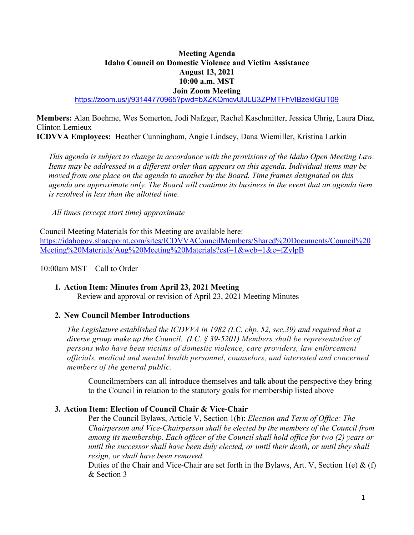# **Meeting Agenda Idaho Council on Domestic Violence and Victim Assistance August 13, 2021 10:00 a.m. MST Join Zoom Meeting**

<https://zoom.us/j/93144770965?pwd=bXZKQmcvUlJLU3ZPMTFhVlBzeklGUT09>

**Members:** Alan Boehme, Wes Somerton, Jodi Nafzger, Rachel Kaschmitter, Jessica Uhrig, Laura Diaz, Clinton Lemieux

**ICDVVA Employees:** Heather Cunningham, Angie Lindsey, Dana Wiemiller, Kristina Larkin

 *This agenda is subject to change in accordance with the provisions of the Idaho Open Meeting Law. Items may be addressed in a different order than appears on this agenda. Individual items may be moved from one place on the agenda to another by the Board. Time frames designated on this agenda are approximate only. The Board will continue its business in the event that an agenda item is resolved in less than the allotted time.* 

*All times (except start time) approximate* 

Council Meeting Materials for this Meeting are available here:

[https://idahogov.sharepoint.com/sites/ICDVVACouncilMembers/Shared%20Documents/Council%20](https://idahogov.sharepoint.com/sites/ICDVVACouncilMembers/Shared%20Documents/Council%20Meeting%20Materials/Aug%20Meeting%20Materials?csf=1&web=1&e=fZylpB) [Meeting%20Materials/Aug%20Meeting%20Materials?csf=1&web=1&e=fZylpB](https://idahogov.sharepoint.com/sites/ICDVVACouncilMembers/Shared%20Documents/Council%20Meeting%20Materials/Aug%20Meeting%20Materials?csf=1&web=1&e=fZylpB)

10:00am MST – Call to Order

# **1. Action Item: Minutes from April 23, 2021 Meeting**

Review and approval or revision of April 23, 2021 Meeting Minutes

## **2. New Council Member Introductions**

*The Legislature established the ICDVVA in 1982 (I.C. chp. 52, sec.39) and required that a diverse group make up the Council. (I.C. § 39-5201) Members shall be representative of persons who have been victims of domestic violence, care providers, law enforcement officials, medical and mental health personnel, counselors, and interested and concerned members of the general public.*

Councilmembers can all introduce themselves and talk about the perspective they bring to the Council in relation to the statutory goals for membership listed above

## **3. Action Item: Election of Council Chair & Vice-Chair**

Per the Council Bylaws, Article V, Section 1(b): *Election and Term of Office: The Chairperson and Vice-Chairperson shall be elected by the members of the Council from among its membership. Each officer of the Council shall hold office for two (2) years or until the successor shall have been duly elected, or until their death, or until they shall resign, or shall have been removed.*

Duties of the Chair and Vice-Chair are set forth in the Bylaws, Art. V, Section 1(e) & (f) & Section 3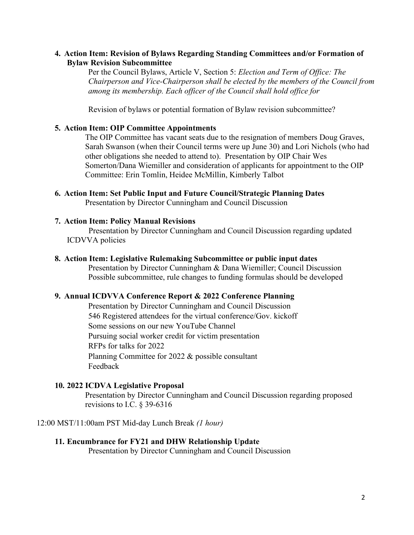# **4. Action Item: Revision of Bylaws Regarding Standing Committees and/or Formation of Bylaw Revision Subcommittee**

Per the Council Bylaws, Article V, Section 5: *Election and Term of Office: The Chairperson and Vice-Chairperson shall be elected by the members of the Council from among its membership. Each officer of the Council shall hold office for* 

Revision of bylaws or potential formation of Bylaw revision subcommittee?

## **5. Action Item: OIP Committee Appointments**

The OIP Committee has vacant seats due to the resignation of members Doug Graves, Sarah Swanson (when their Council terms were up June 30) and Lori Nichols (who had other obligations she needed to attend to). Presentation by OIP Chair Wes Somerton/Dana Wiemiller and consideration of applicants for appointment to the OIP Committee: Erin Tomlin, Heidee McMillin, Kimberly Talbot

**6. Action Item: Set Public Input and Future Council/Strategic Planning Dates**  Presentation by Director Cunningham and Council Discussion

#### **7. Action Item: Policy Manual Revisions**

Presentation by Director Cunningham and Council Discussion regarding updated ICDVVA policies

#### **8. Action Item: Legislative Rulemaking Subcommittee or public input dates**

Presentation by Director Cunningham & Dana Wiemiller; Council Discussion Possible subcommittee, rule changes to funding formulas should be developed

#### **9. Annual ICDVVA Conference Report & 2022 Conference Planning**

Presentation by Director Cunningham and Council Discussion 546 Registered attendees for the virtual conference/Gov. kickoff Some sessions on our new YouTube Channel Pursuing social worker credit for victim presentation RFPs for talks for 2022 Planning Committee for 2022 & possible consultant Feedback

### **10. 2022 ICDVA Legislative Proposal**

Presentation by Director Cunningham and Council Discussion regarding proposed revisions to I.C. § 39-6316

12:00 MST/11:00am PST Mid-day Lunch Break *(1 hour)* 

## **11. Encumbrance for FY21 and DHW Relationship Update**

Presentation by Director Cunningham and Council Discussion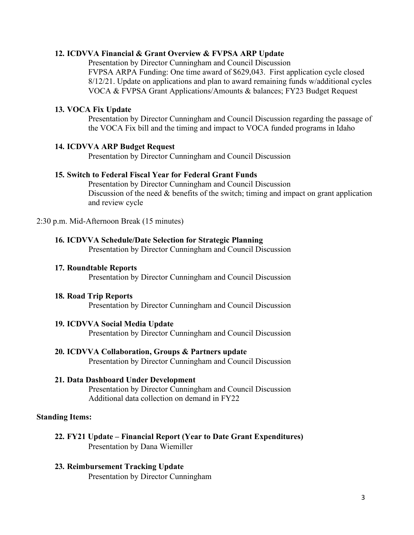## **12. ICDVVA Financial & Grant Overview & FVPSA ARP Update**

Presentation by Director Cunningham and Council Discussion FVPSA ARPA Funding: One time award of \$629,043. First application cycle closed 8/12/21. Update on applications and plan to award remaining funds w/additional cycles VOCA & FVPSA Grant Applications/Amounts & balances; FY23 Budget Request

## **13. VOCA Fix Update**

Presentation by Director Cunningham and Council Discussion regarding the passage of the VOCA Fix bill and the timing and impact to VOCA funded programs in Idaho

#### **14. ICDVVA ARP Budget Request**

Presentation by Director Cunningham and Council Discussion

## **15. Switch to Federal Fiscal Year for Federal Grant Funds**

Presentation by Director Cunningham and Council Discussion Discussion of the need & benefits of the switch; timing and impact on grant application and review cycle

2:30 p.m. Mid-Afternoon Break (15 minutes)

#### **16. ICDVVA Schedule/Date Selection for Strategic Planning**

Presentation by Director Cunningham and Council Discussion

**17. Roundtable Reports** 

Presentation by Director Cunningham and Council Discussion

#### **18. Road Trip Reports**

Presentation by Director Cunningham and Council Discussion

## **19. ICDVVA Social Media Update**

Presentation by Director Cunningham and Council Discussion

**20. ICDVVA Collaboration, Groups & Partners update**  Presentation by Director Cunningham and Council Discussion

#### **21. Data Dashboard Under Development**

Presentation by Director Cunningham and Council Discussion Additional data collection on demand in FY22

#### **Standing Items:**

- **22. FY21 Update Financial Report (Year to Date Grant Expenditures)** Presentation by Dana Wiemiller
- **23. Reimbursement Tracking Update** Presentation by Director Cunningham